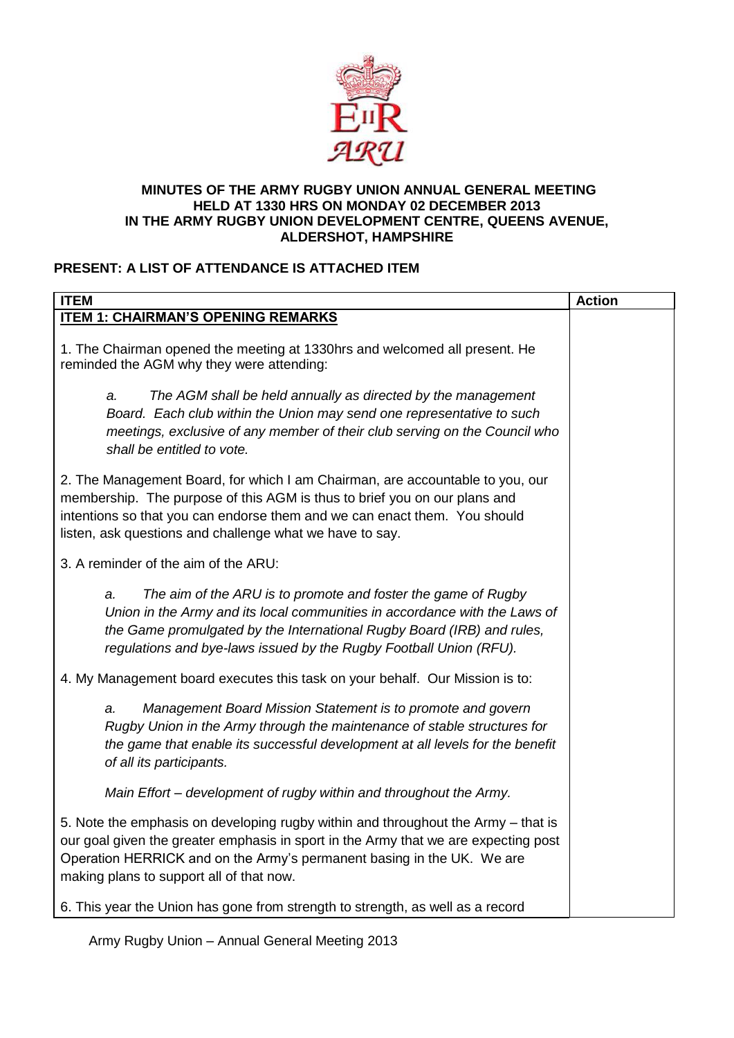

#### **MINUTES OF THE ARMY RUGBY UNION ANNUAL GENERAL MEETING HELD AT 1330 HRS ON MONDAY 02 DECEMBER 2013 IN THE ARMY RUGBY UNION DEVELOPMENT CENTRE, QUEENS AVENUE, ALDERSHOT, HAMPSHIRE**

## **PRESENT: A LIST OF ATTENDANCE IS ATTACHED ITEM**

| <b>ITEM</b>                                                                                                                                                                                                                                                                                         | <b>Action</b> |
|-----------------------------------------------------------------------------------------------------------------------------------------------------------------------------------------------------------------------------------------------------------------------------------------------------|---------------|
| <b>ITEM 1: CHAIRMAN'S OPENING REMARKS</b>                                                                                                                                                                                                                                                           |               |
| 1. The Chairman opened the meeting at 1330hrs and welcomed all present. He<br>reminded the AGM why they were attending:                                                                                                                                                                             |               |
| The AGM shall be held annually as directed by the management<br>a.<br>Board. Each club within the Union may send one representative to such<br>meetings, exclusive of any member of their club serving on the Council who<br>shall be entitled to vote.                                             |               |
| 2. The Management Board, for which I am Chairman, are accountable to you, our<br>membership. The purpose of this AGM is thus to brief you on our plans and<br>intentions so that you can endorse them and we can enact them. You should<br>listen, ask questions and challenge what we have to say. |               |
| 3. A reminder of the aim of the ARU:                                                                                                                                                                                                                                                                |               |
| The aim of the ARU is to promote and foster the game of Rugby<br>a.<br>Union in the Army and its local communities in accordance with the Laws of<br>the Game promulgated by the International Rugby Board (IRB) and rules,<br>regulations and bye-laws issued by the Rugby Football Union (RFU).   |               |
| 4. My Management board executes this task on your behalf. Our Mission is to:                                                                                                                                                                                                                        |               |
| Management Board Mission Statement is to promote and govern<br>a.<br>Rugby Union in the Army through the maintenance of stable structures for<br>the game that enable its successful development at all levels for the benefit<br>of all its participants.                                          |               |
| Main Effort - development of rugby within and throughout the Army.                                                                                                                                                                                                                                  |               |
| 5. Note the emphasis on developing rugby within and throughout the Army – that is<br>our goal given the greater emphasis in sport in the Army that we are expecting post<br>Operation HERRICK and on the Army's permanent basing in the UK. We are<br>making plans to support all of that now.      |               |
| 6. This year the Union has gone from strength to strength, as well as a record                                                                                                                                                                                                                      |               |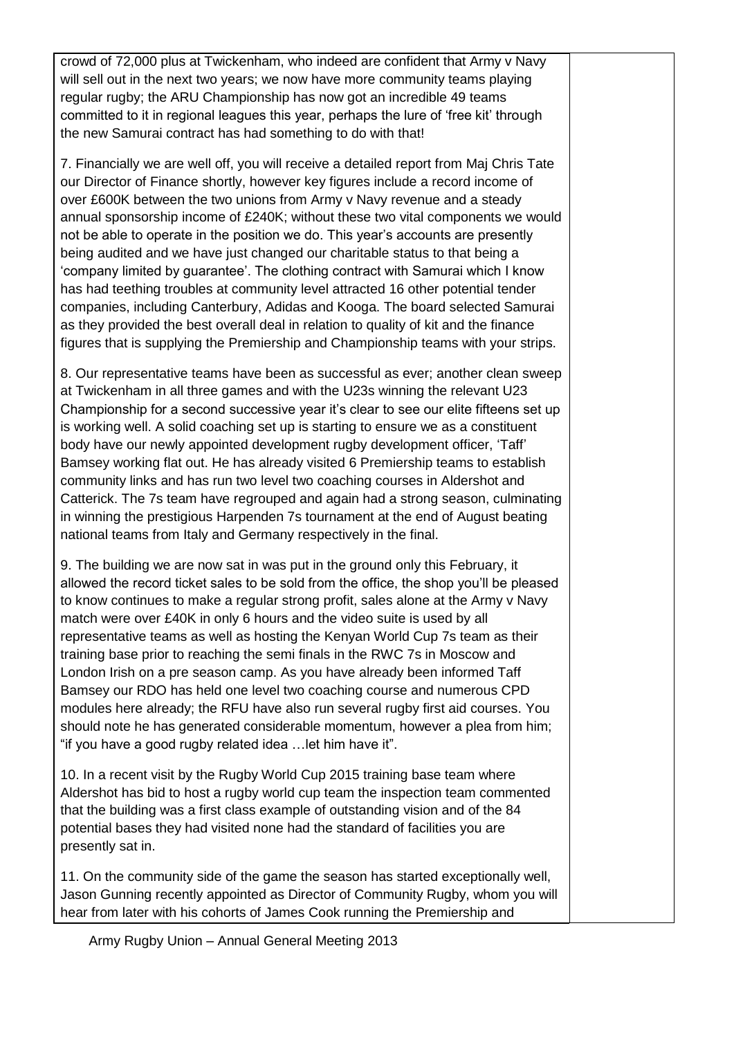crowd of 72,000 plus at Twickenham, who indeed are confident that Army v Navy will sell out in the next two years; we now have more community teams playing regular rugby; the ARU Championship has now got an incredible 49 teams committed to it in regional leagues this year, perhaps the lure of 'free kit' through the new Samurai contract has had something to do with that!

7. Financially we are well off, you will receive a detailed report from Maj Chris Tate our Director of Finance shortly, however key figures include a record income of over £600K between the two unions from Army v Navy revenue and a steady annual sponsorship income of £240K; without these two vital components we would not be able to operate in the position we do. This year's accounts are presently being audited and we have just changed our charitable status to that being a 'company limited by guarantee'. The clothing contract with Samurai which I know has had teething troubles at community level attracted 16 other potential tender companies, including Canterbury, Adidas and Kooga. The board selected Samurai as they provided the best overall deal in relation to quality of kit and the finance figures that is supplying the Premiership and Championship teams with your strips.

8. Our representative teams have been as successful as ever; another clean sweep at Twickenham in all three games and with the U23s winning the relevant U23 Championship for a second successive year it's clear to see our elite fifteens set up is working well. A solid coaching set up is starting to ensure we as a constituent body have our newly appointed development rugby development officer, 'Taff' Bamsey working flat out. He has already visited 6 Premiership teams to establish community links and has run two level two coaching courses in Aldershot and Catterick. The 7s team have regrouped and again had a strong season, culminating in winning the prestigious Harpenden 7s tournament at the end of August beating national teams from Italy and Germany respectively in the final.

9. The building we are now sat in was put in the ground only this February, it allowed the record ticket sales to be sold from the office, the shop you'll be pleased to know continues to make a regular strong profit, sales alone at the Army v Navy match were over £40K in only 6 hours and the video suite is used by all representative teams as well as hosting the Kenyan World Cup 7s team as their training base prior to reaching the semi finals in the RWC 7s in Moscow and London Irish on a pre season camp. As you have already been informed Taff Bamsey our RDO has held one level two coaching course and numerous CPD modules here already; the RFU have also run several rugby first aid courses. You should note he has generated considerable momentum, however a plea from him; "if you have a good rugby related idea …let him have it".

10. In a recent visit by the Rugby World Cup 2015 training base team where Aldershot has bid to host a rugby world cup team the inspection team commented that the building was a first class example of outstanding vision and of the 84 potential bases they had visited none had the standard of facilities you are presently sat in.

11. On the community side of the game the season has started exceptionally well, Jason Gunning recently appointed as Director of Community Rugby, whom you will hear from later with his cohorts of James Cook running the Premiership and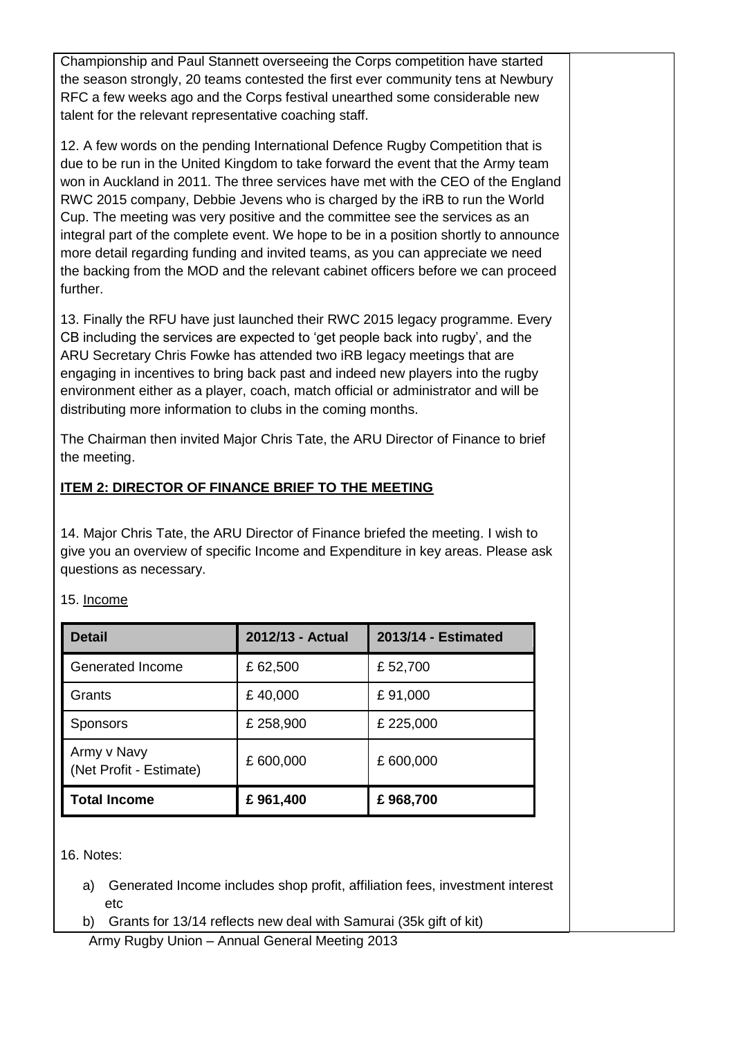Championship and Paul Stannett overseeing the Corps competition have started the season strongly, 20 teams contested the first ever community tens at Newbury RFC a few weeks ago and the Corps festival unearthed some considerable new talent for the relevant representative coaching staff.

12. A few words on the pending International Defence Rugby Competition that is due to be run in the United Kingdom to take forward the event that the Army team won in Auckland in 2011. The three services have met with the CEO of the England RWC 2015 company, Debbie Jevens who is charged by the iRB to run the World Cup. The meeting was very positive and the committee see the services as an integral part of the complete event. We hope to be in a position shortly to announce more detail regarding funding and invited teams, as you can appreciate we need the backing from the MOD and the relevant cabinet officers before we can proceed further.

13. Finally the RFU have just launched their RWC 2015 legacy programme. Every CB including the services are expected to 'get people back into rugby', and the ARU Secretary Chris Fowke has attended two iRB legacy meetings that are engaging in incentives to bring back past and indeed new players into the rugby environment either as a player, coach, match official or administrator and will be distributing more information to clubs in the coming months.

The Chairman then invited Major Chris Tate, the ARU Director of Finance to brief the meeting.

# **ITEM 2: DIRECTOR OF FINANCE BRIEF TO THE MEETING**

14. Major Chris Tate, the ARU Director of Finance briefed the meeting. I wish to give you an overview of specific Income and Expenditure in key areas. Please ask questions as necessary.

| <b>Detail</b>                          | 2012/13 - Actual | 2013/14 - Estimated |
|----------------------------------------|------------------|---------------------|
| Generated Income                       | £62,500          | £52,700             |
| Grants                                 | £40,000          | £91,000             |
| <b>Sponsors</b>                        | £ 258,900        | £ 225,000           |
| Army v Navy<br>(Net Profit - Estimate) | £ 600,000        | £600,000            |
| <b>Total Income</b>                    | £961,400         | £968,700            |

15. Income

16. Notes:

- a) Generated Income includes shop profit, affiliation fees, investment interest etc
- b) Grants for 13/14 reflects new deal with Samurai (35k gift of kit)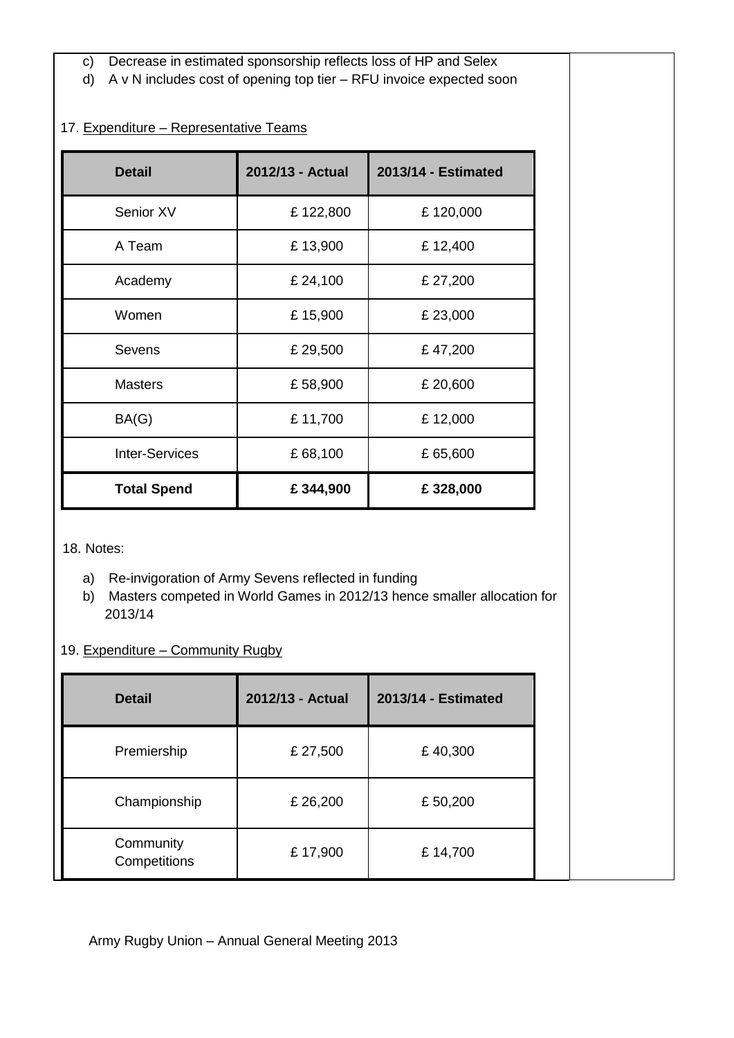- c) Decrease in estimated sponsorship reflects loss of HP and Selex
- d) A v N includes cost of opening top tier RFU invoice expected soon

## 17. Expenditure – Representative Teams

| <b>Detail</b>         | 2012/13 - Actual | 2013/14 - Estimated |
|-----------------------|------------------|---------------------|
| Senior XV             | £122,800         | £120,000            |
| A Team                | £13,900          | £12,400             |
| Academy               | £ 24,100         | £ 27,200            |
| Women                 | £15,900          | £23,000             |
| Sevens                | £ 29,500         | £47,200             |
| <b>Masters</b>        | £58,900          | £ 20,600            |
| BA(G)                 | £11,700          | £12,000             |
| <b>Inter-Services</b> | £68,100          | £65,600             |
| <b>Total Spend</b>    | £344,900         | £328,000            |

18. Notes:

- a) Re-invigoration of Army Sevens reflected in funding
- b) Masters competed in World Games in 2012/13 hence smaller allocation for 2013/14

### 19. Expenditure – Community Rugby

| <b>Detail</b>             | 2012/13 - Actual | 2013/14 - Estimated |
|---------------------------|------------------|---------------------|
| Premiership               | £ 27,500         | £40,300             |
| Championship              | £ 26,200         | £50,200             |
| Community<br>Competitions | £17,900          | £14,700             |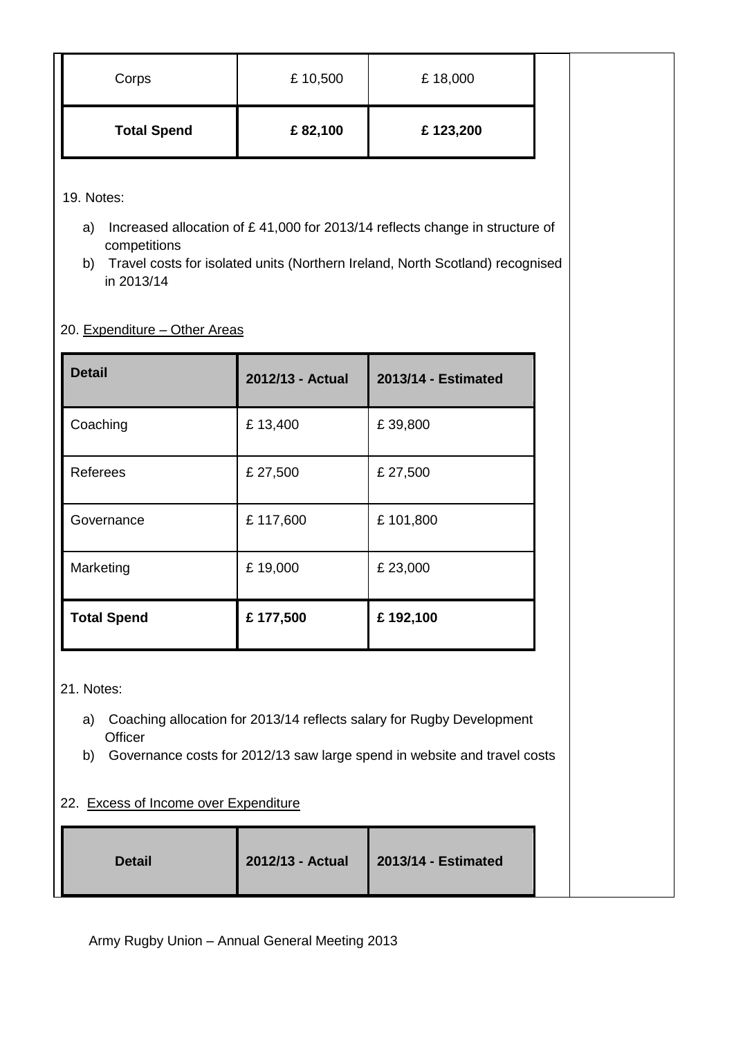| Corps              | £10,500 | £18,000  |  |
|--------------------|---------|----------|--|
| <b>Total Spend</b> | £82,100 | £123,200 |  |

19. Notes:

- a) Increased allocation of £ 41,000 for 2013/14 reflects change in structure of competitions
- b) Travel costs for isolated units (Northern Ireland, North Scotland) recognised in 2013/14

#### 20. Expenditure – Other Areas

| <b>Detail</b>      | 2012/13 - Actual | 2013/14 - Estimated |
|--------------------|------------------|---------------------|
| Coaching           | £13,400          | £39,800             |
| Referees           | £ 27,500         | £ 27,500            |
| Governance         | £117,600         | £101,800            |
| Marketing          | £19,000          | £23,000             |
| <b>Total Spend</b> | £177,500         | £192,100            |

21. Notes:

- a) Coaching allocation for 2013/14 reflects salary for Rugby Development **Officer**
- b) Governance costs for 2012/13 saw large spend in website and travel costs

## 22. Excess of Income over Expenditure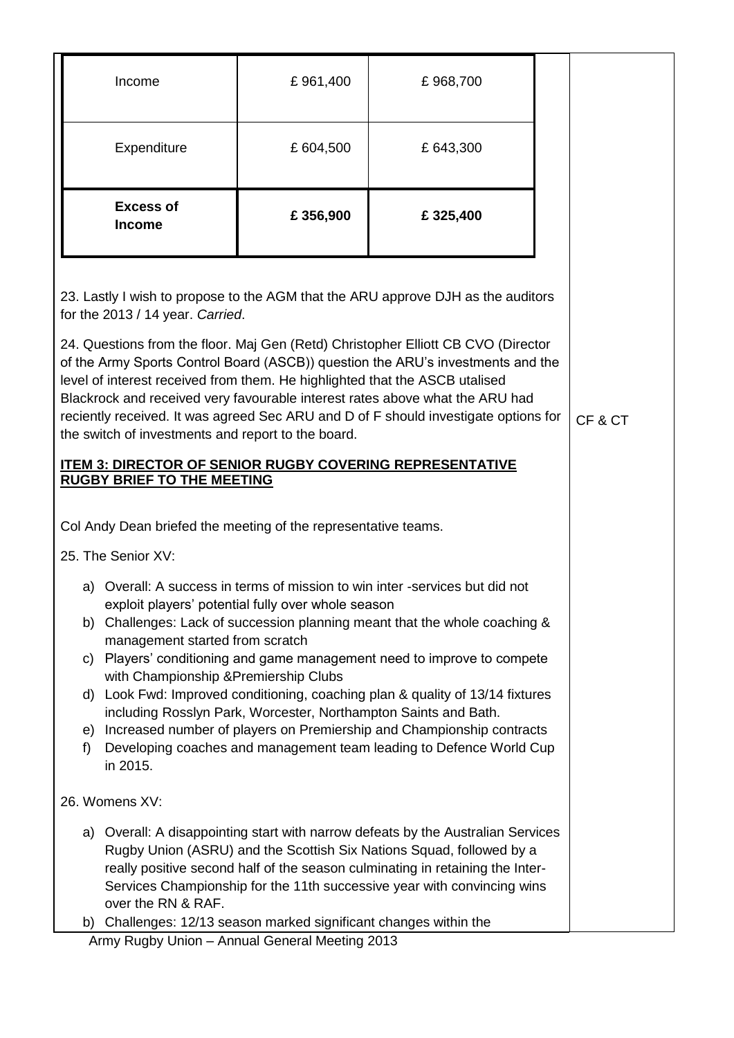|                                                                                                                                                                                                                                                                                                                                                                                                                    |                                                                                                                                                                                                                                                                                                                                                                                                                                                                                                                                                                                                                                                                                      | Income                     | £961,400 | £968,700 |  |  |  |
|--------------------------------------------------------------------------------------------------------------------------------------------------------------------------------------------------------------------------------------------------------------------------------------------------------------------------------------------------------------------------------------------------------------------|--------------------------------------------------------------------------------------------------------------------------------------------------------------------------------------------------------------------------------------------------------------------------------------------------------------------------------------------------------------------------------------------------------------------------------------------------------------------------------------------------------------------------------------------------------------------------------------------------------------------------------------------------------------------------------------|----------------------------|----------|----------|--|--|--|
|                                                                                                                                                                                                                                                                                                                                                                                                                    | Expenditure                                                                                                                                                                                                                                                                                                                                                                                                                                                                                                                                                                                                                                                                          |                            | £604,500 | £643,300 |  |  |  |
|                                                                                                                                                                                                                                                                                                                                                                                                                    |                                                                                                                                                                                                                                                                                                                                                                                                                                                                                                                                                                                                                                                                                      | <b>Excess of</b><br>Income | £356,900 | £325,400 |  |  |  |
|                                                                                                                                                                                                                                                                                                                                                                                                                    | 23. Lastly I wish to propose to the AGM that the ARU approve DJH as the auditors<br>for the 2013 / 14 year. Carried.<br>24. Questions from the floor. Maj Gen (Retd) Christopher Elliott CB CVO (Director<br>of the Army Sports Control Board (ASCB)) question the ARU's investments and the<br>level of interest received from them. He highlighted that the ASCB utalised<br>Blackrock and received very favourable interest rates above what the ARU had<br>reciently received. It was agreed Sec ARU and D of F should investigate options for<br>CF&CT<br>the switch of investments and report to the board.<br><b>ITEM 3: DIRECTOR OF SENIOR RUGBY COVERING REPRESENTATIVE</b> |                            |          |          |  |  |  |
|                                                                                                                                                                                                                                                                                                                                                                                                                    | <b>RUGBY BRIEF TO THE MEETING</b><br>Col Andy Dean briefed the meeting of the representative teams.<br>25. The Senior XV:                                                                                                                                                                                                                                                                                                                                                                                                                                                                                                                                                            |                            |          |          |  |  |  |
|                                                                                                                                                                                                                                                                                                                                                                                                                    |                                                                                                                                                                                                                                                                                                                                                                                                                                                                                                                                                                                                                                                                                      |                            |          |          |  |  |  |
| 26. Womens XV:                                                                                                                                                                                                                                                                                                                                                                                                     |                                                                                                                                                                                                                                                                                                                                                                                                                                                                                                                                                                                                                                                                                      |                            |          |          |  |  |  |
| a) Overall: A disappointing start with narrow defeats by the Australian Services<br>Rugby Union (ASRU) and the Scottish Six Nations Squad, followed by a<br>really positive second half of the season culminating in retaining the Inter-<br>Services Championship for the 11th successive year with convincing wins<br>over the RN & RAF.<br>Challenges: 12/13 season marked significant changes within the<br>b) |                                                                                                                                                                                                                                                                                                                                                                                                                                                                                                                                                                                                                                                                                      |                            |          |          |  |  |  |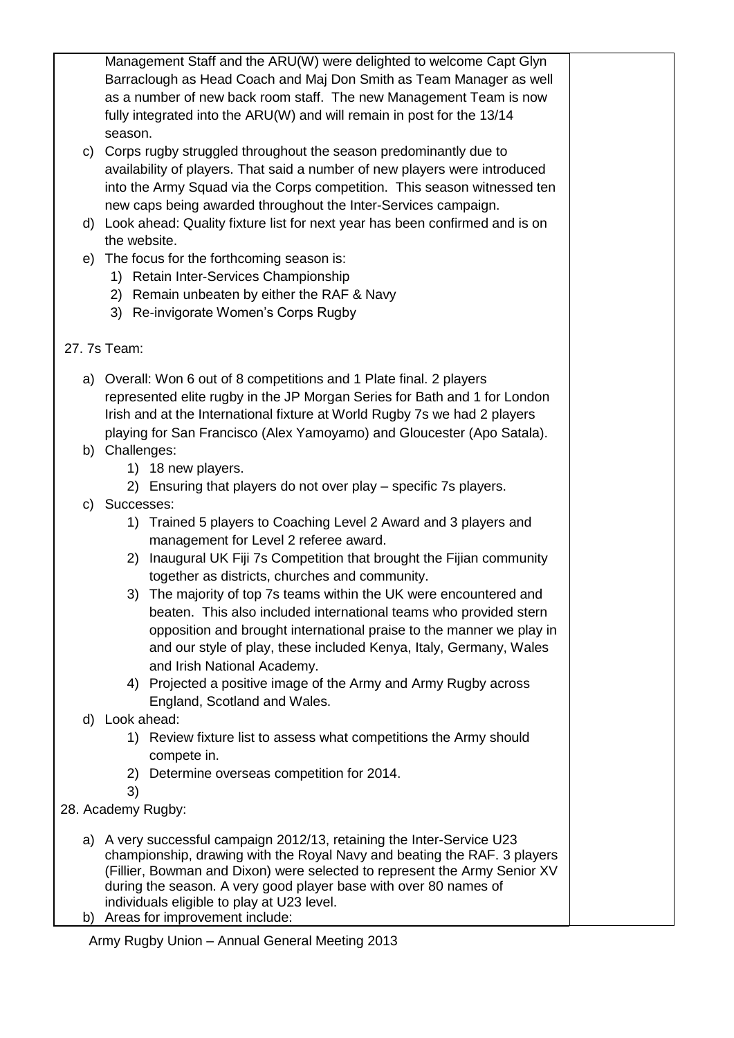Management Staff and the ARU(W) were delighted to welcome Capt Glyn Barraclough as Head Coach and Maj Don Smith as Team Manager as well as a number of new back room staff. The new Management Team is now fully integrated into the ARU(W) and will remain in post for the 13/14 season.

- c) Corps rugby struggled throughout the season predominantly due to availability of players. That said a number of new players were introduced into the Army Squad via the Corps competition. This season witnessed ten new caps being awarded throughout the Inter-Services campaign.
- d) Look ahead: Quality fixture list for next year has been confirmed and is on the website.
- e) The focus for the forthcoming season is:
	- 1) Retain Inter-Services Championship
	- 2) Remain unbeaten by either the RAF & Navy
	- 3) Re-invigorate Women's Corps Rugby
- 27. 7s Team:
	- a) Overall: Won 6 out of 8 competitions and 1 Plate final. 2 players represented elite rugby in the JP Morgan Series for Bath and 1 for London Irish and at the International fixture at World Rugby 7s we had 2 players playing for San Francisco (Alex Yamoyamo) and Gloucester (Apo Satala).
	- b) Challenges:
		- 1) 18 new players.
		- 2) Ensuring that players do not over play specific 7s players.
	- c) Successes:
		- 1) Trained 5 players to Coaching Level 2 Award and 3 players and management for Level 2 referee award.
		- 2) Inaugural UK Fiji 7s Competition that brought the Fijian community together as districts, churches and community.
		- 3) The majority of top 7s teams within the UK were encountered and beaten. This also included international teams who provided stern opposition and brought international praise to the manner we play in and our style of play, these included Kenya, Italy, Germany, Wales and Irish National Academy.
		- 4) Projected a positive image of the Army and Army Rugby across England, Scotland and Wales.
	- d) Look ahead:
		- 1) Review fixture list to assess what competitions the Army should compete in.
		- 2) Determine overseas competition for 2014.
		- 3)
- 28. Academy Rugby:
	- a) A very successful campaign 2012/13, retaining the Inter-Service U23 championship, drawing with the Royal Navy and beating the RAF. 3 players (Fillier, Bowman and Dixon) were selected to represent the Army Senior XV during the season. A very good player base with over 80 names of individuals eligible to play at U23 level.
	- b) Areas for improvement include: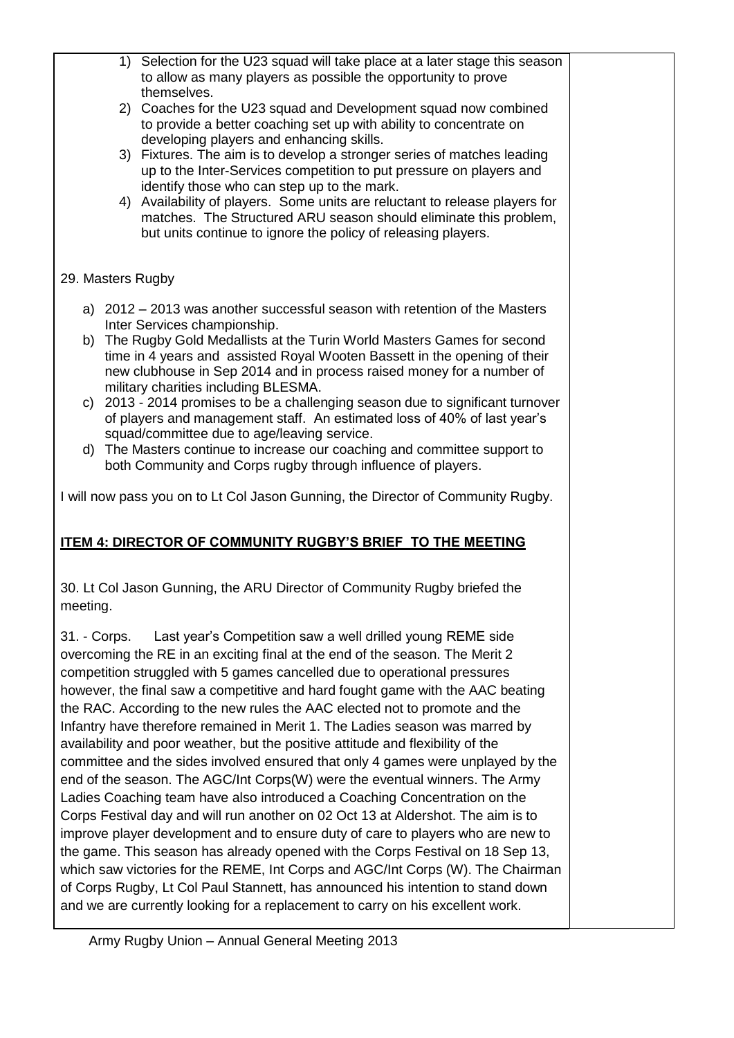1) Selection for the U23 squad will take place at a later stage this season to allow as many players as possible the opportunity to prove themselves. 2) Coaches for the U23 squad and Development squad now combined to provide a better coaching set up with ability to concentrate on developing players and enhancing skills. 3) Fixtures. The aim is to develop a stronger series of matches leading up to the Inter-Services competition to put pressure on players and identify those who can step up to the mark. 4) Availability of players. Some units are reluctant to release players for matches. The Structured ARU season should eliminate this problem, but units continue to ignore the policy of releasing players. 29. Masters Rugby a) 2012 – 2013 was another successful season with retention of the Masters Inter Services championship. b) The Rugby Gold Medallists at the Turin World Masters Games for second time in 4 years and assisted Royal Wooten Bassett in the opening of their new clubhouse in Sep 2014 and in process raised money for a number of military charities including BLESMA. c) 2013 - 2014 promises to be a challenging season due to significant turnover of players and management staff. An estimated loss of 40% of last year's squad/committee due to age/leaving service. d) The Masters continue to increase our coaching and committee support to both Community and Corps rugby through influence of players. I will now pass you on to Lt Col Jason Gunning, the Director of Community Rugby. **ITEM 4: DIRECTOR OF COMMUNITY RUGBY'S BRIEF TO THE MEETING** 30. Lt Col Jason Gunning, the ARU Director of Community Rugby briefed the meeting. 31. - Corps. Last year's Competition saw a well drilled young REME side overcoming the RE in an exciting final at the end of the season. The Merit 2 competition struggled with 5 games cancelled due to operational pressures however, the final saw a competitive and hard fought game with the AAC beating the RAC. According to the new rules the AAC elected not to promote and the Infantry have therefore remained in Merit 1. The Ladies season was marred by availability and poor weather, but the positive attitude and flexibility of the committee and the sides involved ensured that only 4 games were unplayed by the end of the season. The AGC/Int Corps(W) were the eventual winners. The Army Ladies Coaching team have also introduced a Coaching Concentration on the Corps Festival day and will run another on 02 Oct 13 at Aldershot. The aim is to improve player development and to ensure duty of care to players who are new to the game. This season has already opened with the Corps Festival on 18 Sep 13, which saw victories for the REME, Int Corps and AGC/Int Corps (W). The Chairman of Corps Rugby, Lt Col Paul Stannett, has announced his intention to stand down

and we are currently looking for a replacement to carry on his excellent work.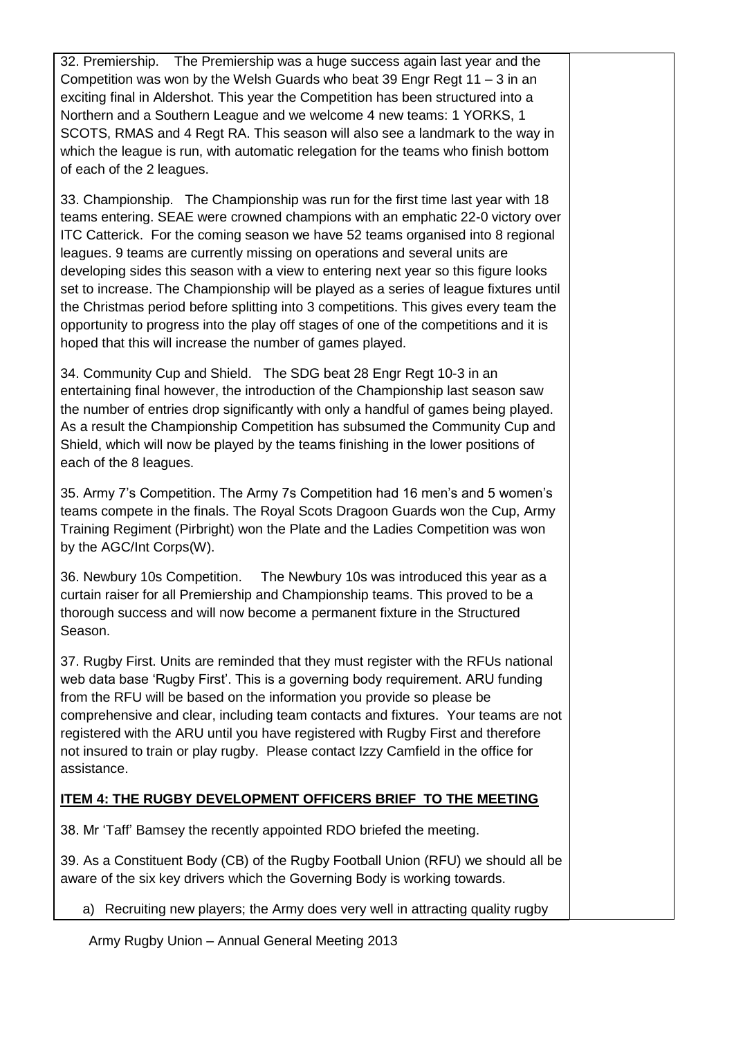32. Premiership. The Premiership was a huge success again last year and the Competition was won by the Welsh Guards who beat 39 Engr Regt 11 – 3 in an exciting final in Aldershot. This year the Competition has been structured into a Northern and a Southern League and we welcome 4 new teams: 1 YORKS, 1 SCOTS, RMAS and 4 Regt RA. This season will also see a landmark to the way in which the league is run, with automatic relegation for the teams who finish bottom of each of the 2 leagues.

33. Championship. The Championship was run for the first time last year with 18 teams entering. SEAE were crowned champions with an emphatic 22-0 victory over ITC Catterick. For the coming season we have 52 teams organised into 8 regional leagues. 9 teams are currently missing on operations and several units are developing sides this season with a view to entering next year so this figure looks set to increase. The Championship will be played as a series of league fixtures until the Christmas period before splitting into 3 competitions. This gives every team the opportunity to progress into the play off stages of one of the competitions and it is hoped that this will increase the number of games played.

34. Community Cup and Shield. The SDG beat 28 Engr Regt 10-3 in an entertaining final however, the introduction of the Championship last season saw the number of entries drop significantly with only a handful of games being played. As a result the Championship Competition has subsumed the Community Cup and Shield, which will now be played by the teams finishing in the lower positions of each of the 8 leagues.

35. Army 7's Competition. The Army 7s Competition had 16 men's and 5 women's teams compete in the finals. The Royal Scots Dragoon Guards won the Cup, Army Training Regiment (Pirbright) won the Plate and the Ladies Competition was won by the AGC/Int Corps(W).

36. Newbury 10s Competition. The Newbury 10s was introduced this year as a curtain raiser for all Premiership and Championship teams. This proved to be a thorough success and will now become a permanent fixture in the Structured Season.

37. Rugby First. Units are reminded that they must register with the RFUs national web data base 'Rugby First'. This is a governing body requirement. ARU funding from the RFU will be based on the information you provide so please be comprehensive and clear, including team contacts and fixtures. Your teams are not registered with the ARU until you have registered with Rugby First and therefore not insured to train or play rugby. Please contact Izzy Camfield in the office for assistance.

### **ITEM 4: THE RUGBY DEVELOPMENT OFFICERS BRIEF TO THE MEETING**

38. Mr 'Taff' Bamsey the recently appointed RDO briefed the meeting.

39. As a Constituent Body (CB) of the Rugby Football Union (RFU) we should all be aware of the six key drivers which the Governing Body is working towards.

a) Recruiting new players; the Army does very well in attracting quality rugby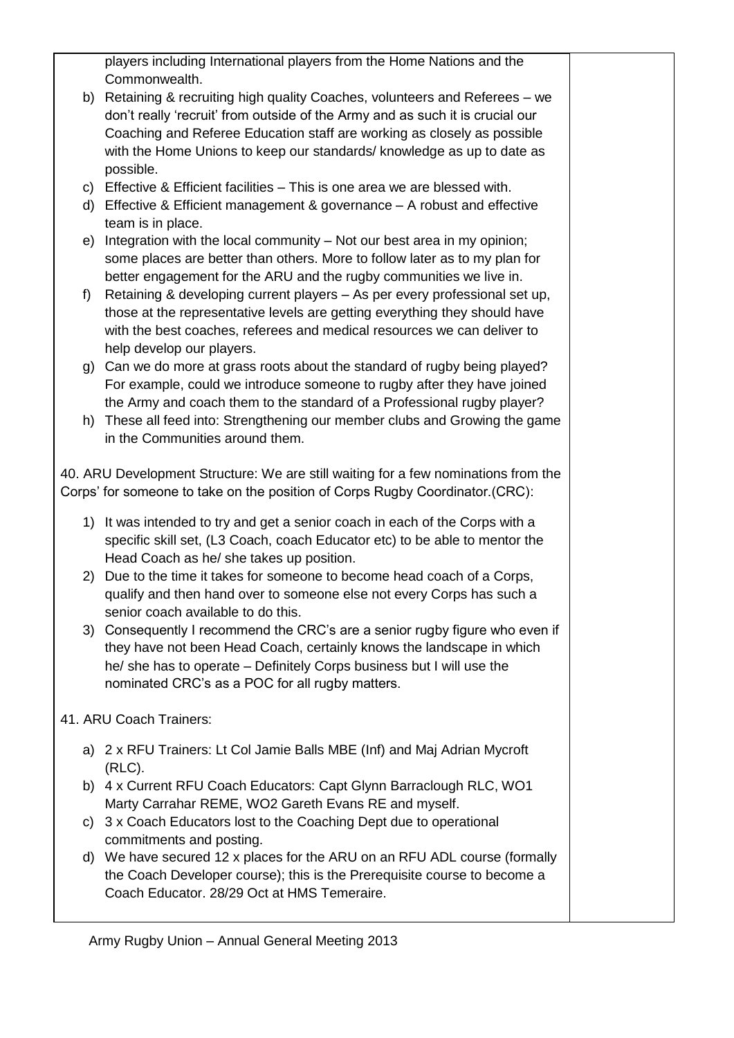players including International players from the Home Nations and the Commonwealth.

- b) Retaining & recruiting high quality Coaches, volunteers and Referees we don't really 'recruit' from outside of the Army and as such it is crucial our Coaching and Referee Education staff are working as closely as possible with the Home Unions to keep our standards/ knowledge as up to date as possible.
- c) Effective & Efficient facilities This is one area we are blessed with.
- d) Effective & Efficient management & governance A robust and effective team is in place.
- e) Integration with the local community Not our best area in my opinion; some places are better than others. More to follow later as to my plan for better engagement for the ARU and the rugby communities we live in.
- f) Retaining & developing current players As per every professional set up, those at the representative levels are getting everything they should have with the best coaches, referees and medical resources we can deliver to help develop our players.
- g) Can we do more at grass roots about the standard of rugby being played? For example, could we introduce someone to rugby after they have joined the Army and coach them to the standard of a Professional rugby player?
- h) These all feed into: Strengthening our member clubs and Growing the game in the Communities around them.

40. ARU Development Structure: We are still waiting for a few nominations from the Corps' for someone to take on the position of Corps Rugby Coordinator.(CRC):

- 1) It was intended to try and get a senior coach in each of the Corps with a specific skill set, (L3 Coach, coach Educator etc) to be able to mentor the Head Coach as he/ she takes up position.
- 2) Due to the time it takes for someone to become head coach of a Corps, qualify and then hand over to someone else not every Corps has such a senior coach available to do this.
- 3) Consequently I recommend the CRC's are a senior rugby figure who even if they have not been Head Coach, certainly knows the landscape in which he/ she has to operate – Definitely Corps business but I will use the nominated CRC's as a POC for all rugby matters.
- 41. ARU Coach Trainers:
	- a) 2 x RFU Trainers: Lt Col Jamie Balls MBE (Inf) and Maj Adrian Mycroft (RLC).
	- b) 4 x Current RFU Coach Educators: Capt Glynn Barraclough RLC, WO1 Marty Carrahar REME, WO2 Gareth Evans RE and myself.
	- c) 3 x Coach Educators lost to the Coaching Dept due to operational commitments and posting.
	- d) We have secured 12 x places for the ARU on an RFU ADL course (formally the Coach Developer course); this is the Prerequisite course to become a Coach Educator. 28/29 Oct at HMS Temeraire.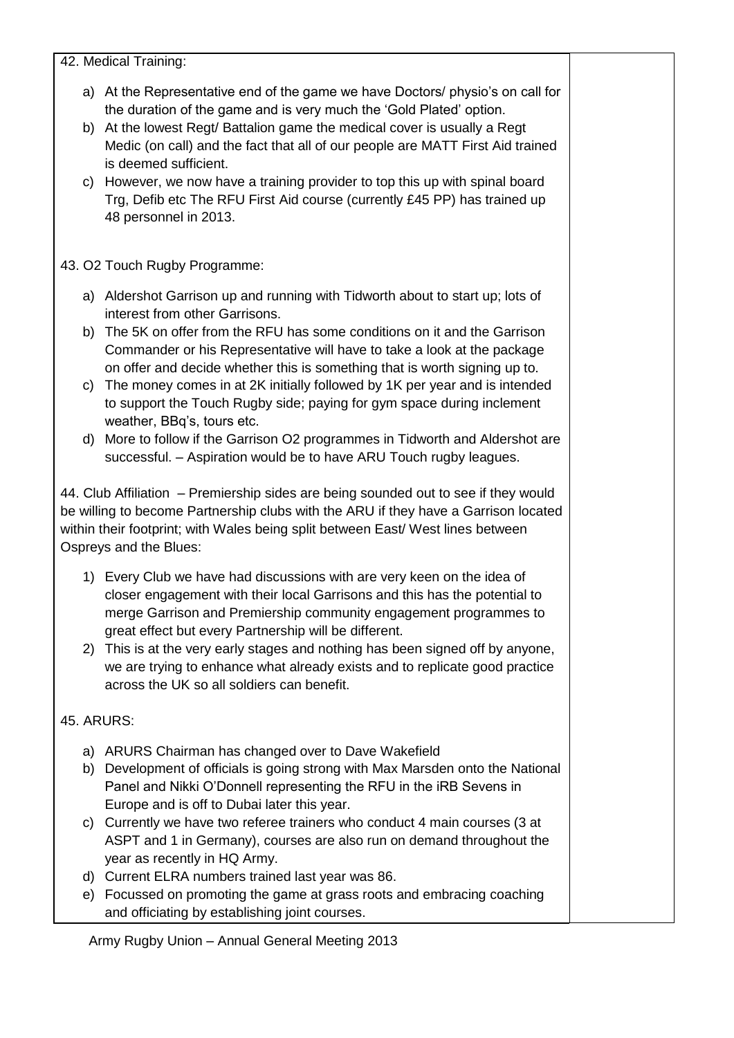42. Medical Training:

- a) At the Representative end of the game we have Doctors/ physio's on call for the duration of the game and is very much the 'Gold Plated' option.
- b) At the lowest Regt/ Battalion game the medical cover is usually a Regt Medic (on call) and the fact that all of our people are MATT First Aid trained is deemed sufficient.
- c) However, we now have a training provider to top this up with spinal board Trg, Defib etc The RFU First Aid course (currently £45 PP) has trained up 48 personnel in 2013.

43. O2 Touch Rugby Programme:

- a) Aldershot Garrison up and running with Tidworth about to start up; lots of interest from other Garrisons.
- b) The 5K on offer from the RFU has some conditions on it and the Garrison Commander or his Representative will have to take a look at the package on offer and decide whether this is something that is worth signing up to.
- c) The money comes in at 2K initially followed by 1K per year and is intended to support the Touch Rugby side; paying for gym space during inclement weather, BBq's, tours etc.
- d) More to follow if the Garrison O2 programmes in Tidworth and Aldershot are successful. – Aspiration would be to have ARU Touch rugby leagues.

44. Club Affiliation – Premiership sides are being sounded out to see if they would be willing to become Partnership clubs with the ARU if they have a Garrison located within their footprint; with Wales being split between East/ West lines between Ospreys and the Blues:

- 1) Every Club we have had discussions with are very keen on the idea of closer engagement with their local Garrisons and this has the potential to merge Garrison and Premiership community engagement programmes to great effect but every Partnership will be different.
- 2) This is at the very early stages and nothing has been signed off by anyone, we are trying to enhance what already exists and to replicate good practice across the UK so all soldiers can benefit.

## 45. ARURS:

- a) ARURS Chairman has changed over to Dave Wakefield
- b) Development of officials is going strong with Max Marsden onto the National Panel and Nikki O'Donnell representing the RFU in the iRB Sevens in Europe and is off to Dubai later this year.
- c) Currently we have two referee trainers who conduct 4 main courses (3 at ASPT and 1 in Germany), courses are also run on demand throughout the year as recently in HQ Army.
- d) Current ELRA numbers trained last year was 86.
- e) Focussed on promoting the game at grass roots and embracing coaching and officiating by establishing joint courses.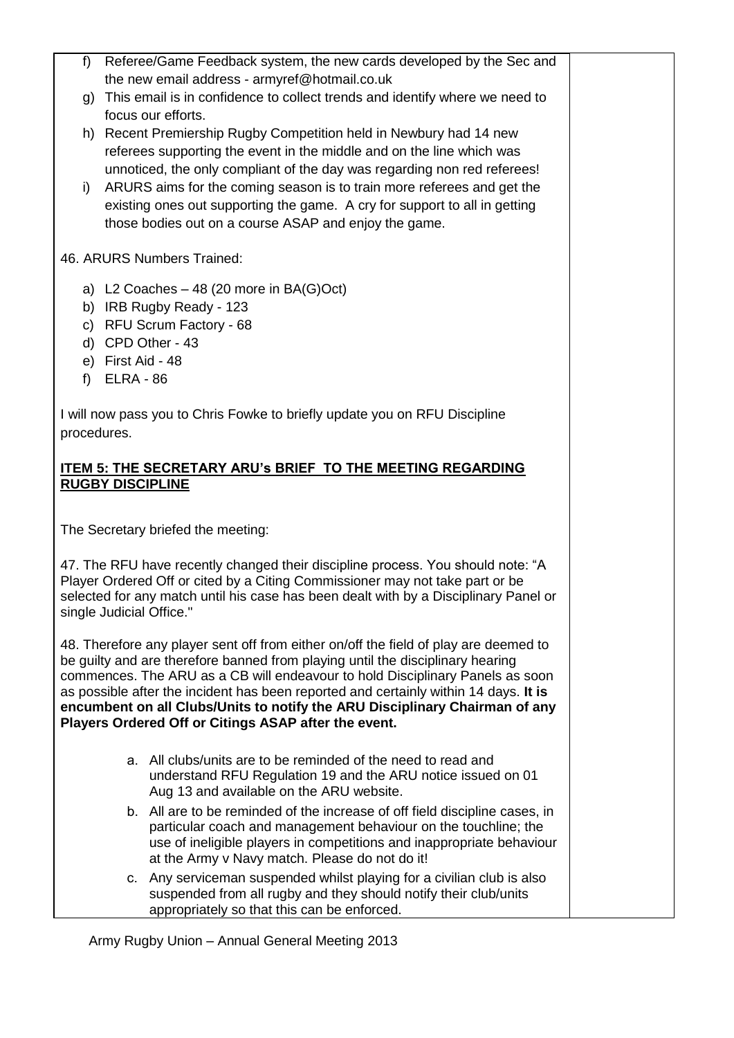- f) Referee/Game Feedback system, the new cards developed by the Sec and the new email address - armyref@hotmail.co.uk g) This email is in confidence to collect trends and identify where we need to focus our efforts. h) Recent Premiership Rugby Competition held in Newbury had 14 new referees supporting the event in the middle and on the line which was unnoticed, the only compliant of the day was regarding non red referees! i) ARURS aims for the coming season is to train more referees and get the existing ones out supporting the game. A cry for support to all in getting those bodies out on a course ASAP and enjoy the game. 46. ARURS Numbers Trained: a) L2 Coaches – 48 (20 more in BA(G)Oct) b) IRB Rugby Ready - 123 c) RFU Scrum Factory - 68 d) CPD Other - 43 e) First Aid - 48
	- f) ELRA 86

I will now pass you to Chris Fowke to briefly update you on RFU Discipline procedures.

#### **ITEM 5: THE SECRETARY ARU's BRIEF TO THE MEETING REGARDING RUGBY DISCIPLINE**

The Secretary briefed the meeting:

47. The RFU have recently changed their discipline process. You should note: "A Player Ordered Off or cited by a Citing Commissioner may not take part or be selected for any match until his case has been dealt with by a Disciplinary Panel or single Judicial Office."

48. Therefore any player sent off from either on/off the field of play are deemed to be guilty and are therefore banned from playing until the disciplinary hearing commences. The ARU as a CB will endeavour to hold Disciplinary Panels as soon as possible after the incident has been reported and certainly within 14 days. **It is encumbent on all Clubs/Units to notify the ARU Disciplinary Chairman of any Players Ordered Off or Citings ASAP after the event.**

- a. All clubs/units are to be reminded of the need to read and understand RFU Regulation 19 and the ARU notice issued on 01 Aug 13 and available on the ARU website.
- b. All are to be reminded of the increase of off field discipline cases, in particular coach and management behaviour on the touchline; the use of ineligible players in competitions and inappropriate behaviour at the Army v Navy match. Please do not do it!
- c. Any serviceman suspended whilst playing for a civilian club is also suspended from all rugby and they should notify their club/units appropriately so that this can be enforced.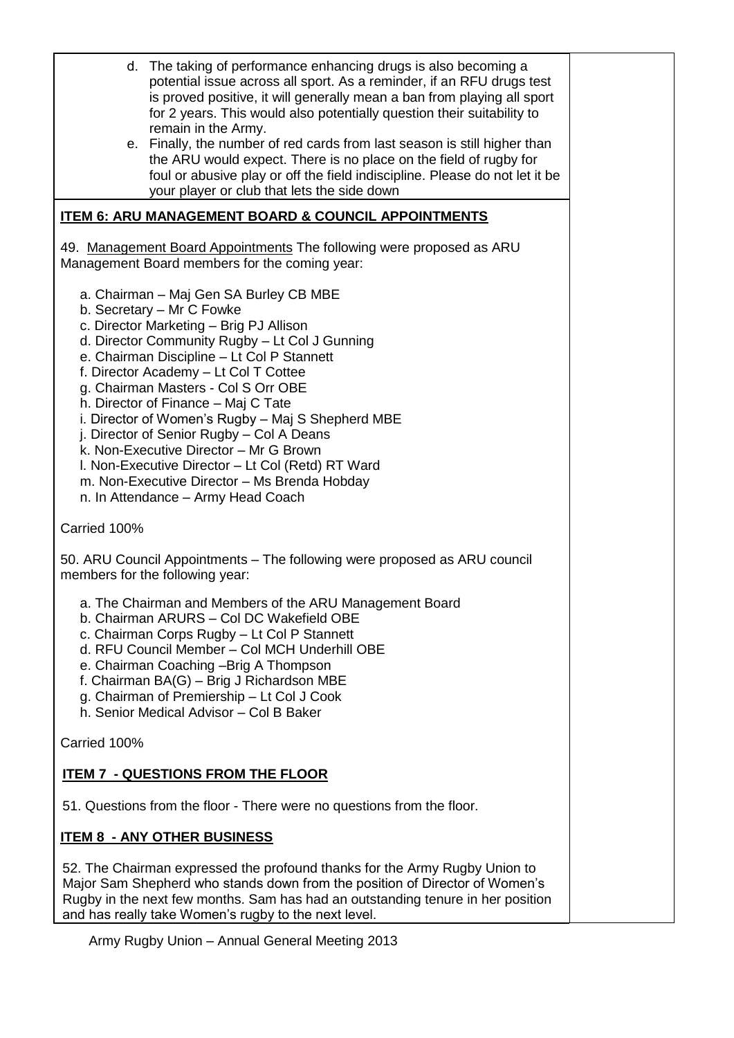- d. The taking of performance enhancing drugs is also becoming a potential issue across all sport. As a reminder, if an RFU drugs test is proved positive, it will generally mean a ban from playing all sport for 2 years. This would also potentially question their suitability to remain in the Army.
- e. Finally, the number of red cards from last season is still higher than the ARU would expect. There is no place on the field of rugby for foul or abusive play or off the field indiscipline. Please do not let it be your player or club that lets the side down

### **ITEM 6: ARU MANAGEMENT BOARD & COUNCIL APPOINTMENTS**

49. Management Board Appointments The following were proposed as ARU Management Board members for the coming year:

- a. Chairman Maj Gen SA Burley CB MBE
- b. Secretary Mr C Fowke
- c. Director Marketing Brig PJ Allison
- d. Director Community Rugby Lt Col J Gunning
- e. Chairman Discipline Lt Col P Stannett
- f. Director Academy Lt Col T Cottee
- g. Chairman Masters Col S Orr OBE
- h. Director of Finance Maj C Tate
- i. Director of Women's Rugby Maj S Shepherd MBE
- j. Director of Senior Rugby Col A Deans
- k. Non-Executive Director Mr G Brown
- l. Non-Executive Director Lt Col (Retd) RT Ward
- m. Non-Executive Director Ms Brenda Hobday
- n. In Attendance Army Head Coach

Carried 100%

50. ARU Council Appointments – The following were proposed as ARU council members for the following year:

- a. The Chairman and Members of the ARU Management Board
- b. Chairman ARURS Col DC Wakefield OBE
- c. Chairman Corps Rugby Lt Col P Stannett
- d. RFU Council Member Col MCH Underhill OBE
- e. Chairman Coaching –Brig A Thompson
- f. Chairman BA(G) Brig J Richardson MBE
- g. Chairman of Premiership Lt Col J Cook
- h. Senior Medical Advisor Col B Baker

Carried 100%

### **ITEM 7 - QUESTIONS FROM THE FLOOR**

51. Questions from the floor - There were no questions from the floor.

### **ITEM 8 - ANY OTHER BUSINESS**

52. The Chairman expressed the profound thanks for the Army Rugby Union to Major Sam Shepherd who stands down from the position of Director of Women's Rugby in the next few months. Sam has had an outstanding tenure in her position and has really take Women's rugby to the next level.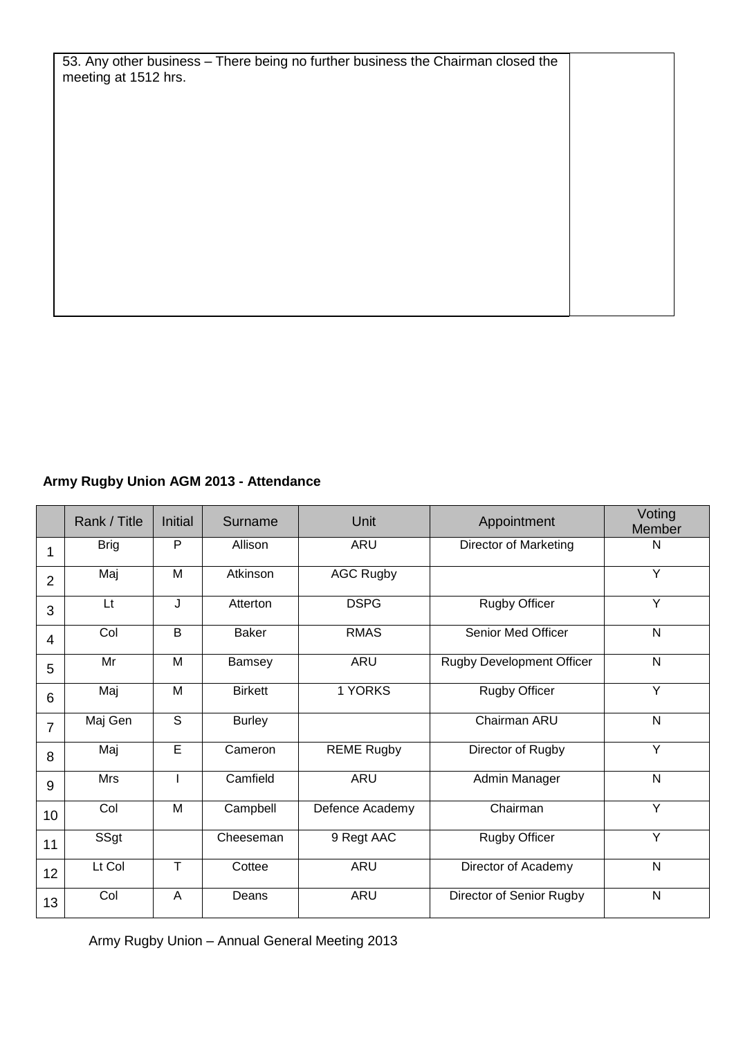53. Any other business – There being no further business the Chairman closed the meeting at 1512 hrs.

# **Army Rugby Union AGM 2013 - Attendance**

|                | Rank / Title | <b>Initial</b> | Surname        | Unit              | Appointment                      | Voting<br>Member |
|----------------|--------------|----------------|----------------|-------------------|----------------------------------|------------------|
| 1              | <b>Brig</b>  | P              | Allison        | ARU               | <b>Director of Marketing</b>     | N                |
| $\overline{2}$ | Maj          | M              | Atkinson       | <b>AGC Rugby</b>  |                                  | Y                |
| 3              | Lt           | J              | Atterton       | <b>DSPG</b>       | <b>Rugby Officer</b>             | Y                |
| $\overline{4}$ | Col          | B              | <b>Baker</b>   | <b>RMAS</b>       | <b>Senior Med Officer</b>        | N                |
| 5              | Mr           | M              | Bamsey         | <b>ARU</b>        | <b>Rugby Development Officer</b> | $\mathsf{N}$     |
| 6              | Maj          | M              | <b>Birkett</b> | 1 YORKS           | <b>Rugby Officer</b>             | Y                |
| $\overline{7}$ | Maj Gen      | $\overline{s}$ | <b>Burley</b>  |                   | Chairman ARU                     | N                |
| 8              | Maj          | $\overline{E}$ | Cameron        | <b>REME Rugby</b> | Director of Rugby                | Y                |
| 9              | Mrs          |                | Camfield       | <b>ARU</b>        | Admin Manager                    | $\mathsf{N}$     |
| 10             | Col          | M              | Campbell       | Defence Academy   | Chairman                         | Y                |
| 11             | SSgt         |                | Cheeseman      | 9 Regt AAC        | <b>Rugby Officer</b>             | Y                |
| 12             | Lt Col       | T              | Cottee         | ARU               | Director of Academy              | $\mathsf{N}$     |
| 13             | Col          | A              | Deans          | <b>ARU</b>        | Director of Senior Rugby         | N                |